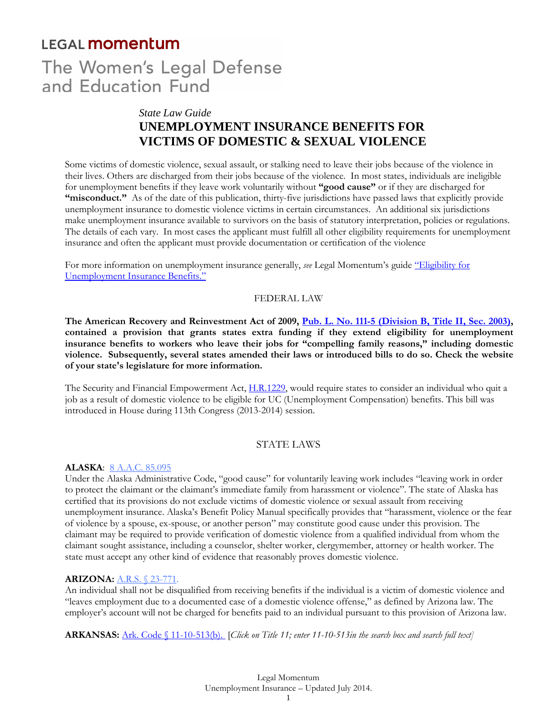# **LEGAL momentum**

# The Women's Legal Defense and Education Fund

# *State Law Guide*  **UNEMPLOYMENT INSURANCE BENEFITS FOR VICTIMS OF DOMESTIC & SEXUAL VIOLENCE**

Some victims of domestic violence, sexual assault, or stalking need to leave their jobs because of the violence in their lives. Others are discharged from their jobs because of the violence. In most states, individuals are ineligible for unemployment benefits if they leave work voluntarily without **"good cause"** or if they are discharged for "misconduct." As of the date of this publication, thirty-five jurisdictions have passed laws that explicitly provide unemployment insurance to domestic violence victims in certain circumstances. An additional six jurisdictions make unemployment insurance available to survivors on the basis of statutory interpretation, policies or regulations. The details of each vary. In most cases the applicant must fulfill all other eligibility requirements for unemployment insurance and often the applicant must provide documentation or certification of the violence

For more information on unemployment insurance generally, *see* Legal Momentum's guide "Eligibility for Unemployment Insurance Benefits."

#### FEDERAL LAW

**The American Recovery and Reinvestment Act of 2009, Pub. L. No. 111-5 (Division B, Title II, Sec. 2003), contained a provision that grants states extra funding if they extend eligibility for unemployment insurance benefits to workers who leave their jobs for "compelling family reasons," including domestic violence. Subsequently, several states amended their laws or introduced bills to do so. Check the website of your state's legislature for more information.** 

The Security and Financial Empowerment Act, H.R.1229, would require states to consider an individual who quit a job as a result of domestic violence to be eligible for UC (Unemployment Compensation) benefits. This bill was introduced in House during 113th Congress (2013-2014) session.

#### STATE LAWS

#### **ALASKA**: 8 A.A.C. 85.095

Under the Alaska Administrative Code, "good cause" for voluntarily leaving work includes "leaving work in order to protect the claimant or the claimant's immediate family from harassment or violence". The state of Alaska has certified that its provisions do not exclude victims of domestic violence or sexual assault from receiving unemployment insurance. Alaska's Benefit Policy Manual specifically provides that "harassment, violence or the fear of violence by a spouse, ex-spouse, or another person" may constitute good cause under this provision. The claimant may be required to provide verification of domestic violence from a qualified individual from whom the claimant sought assistance, including a counselor, shelter worker, clergymember, attorney or health worker. The state must accept any other kind of evidence that reasonably proves domestic violence.

#### **ARIZONA:** A.R.S. § 23-771.

An individual shall not be disqualified from receiving benefits if the individual is a victim of domestic violence and "leaves employment due to a documented case of a domestic violence offense," as defined by Arizona law. The employer's account will not be charged for benefits paid to an individual pursuant to this provision of Arizona law.

**ARKANSAS:** Ark. Code § 11-10-513(b). [*Click on Title 11; enter 11-10-513in the search box and search full text]*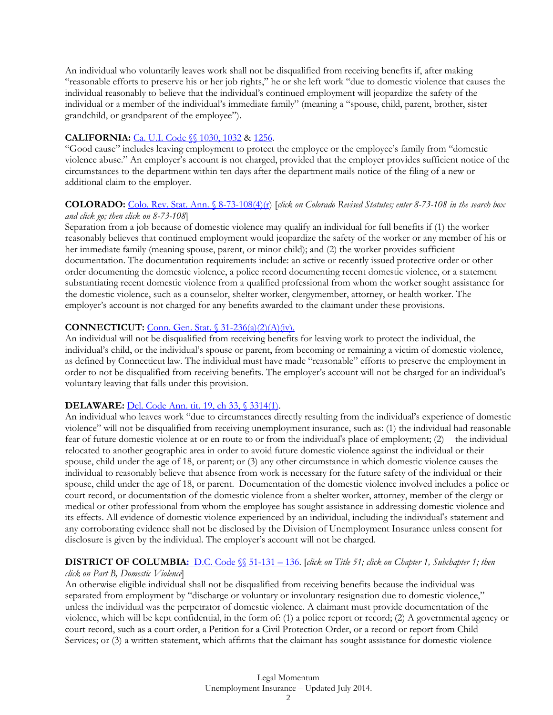An individual who voluntarily leaves work shall not be disqualified from receiving benefits if, after making "reasonable efforts to preserve his or her job rights," he or she left work "due to domestic violence that causes the individual reasonably to believe that the individual's continued employment will jeopardize the safety of the individual or a member of the individual's immediate family" (meaning a "spouse, child, parent, brother, sister grandchild, or grandparent of the employee").

# **CALIFORNIA:** Ca. U.I. Code §§ 1030, 1032 & 1256.

"Good cause" includes leaving employment to protect the employee or the employee's family from "domestic violence abuse." An employer's account is not charged, provided that the employer provides sufficient notice of the circumstances to the department within ten days after the department mails notice of the filing of a new or additional claim to the employer.

#### **COLORADO:** Colo. Rev. Stat. Ann. § 8-73-108(4)(r) [*click on Colorado Revised Statutes; enter 8-73-108 in the search box and click go; then click on 8-73-108*]

Separation from a job because of domestic violence may qualify an individual for full benefits if (1) the worker reasonably believes that continued employment would jeopardize the safety of the worker or any member of his or her immediate family (meaning spouse, parent, or minor child); and (2) the worker provides sufficient documentation. The documentation requirements include: an active or recently issued protective order or other order documenting the domestic violence, a police record documenting recent domestic violence, or a statement substantiating recent domestic violence from a qualified professional from whom the worker sought assistance for the domestic violence, such as a counselor, shelter worker, clergymember, attorney, or health worker. The employer's account is not charged for any benefits awarded to the claimant under these provisions.

# **CONNECTICUT:** Conn. Gen. Stat. § 31-236(a)(2)(A)(iv).

An individual will not be disqualified from receiving benefits for leaving work to protect the individual, the individual's child, or the individual's spouse or parent, from becoming or remaining a victim of domestic violence, as defined by Connecticut law. The individual must have made "reasonable" efforts to preserve the employment in order to not be disqualified from receiving benefits. The employer's account will not be charged for an individual's voluntary leaving that falls under this provision.

# **DELAWARE:** Del. Code Ann. tit. 19, ch 33, § 3314(1).

An individual who leaves work "due to circumstances directly resulting from the individual's experience of domestic violence" will not be disqualified from receiving unemployment insurance, such as: (1) the individual had reasonable fear of future domestic violence at or en route to or from the individual's place of employment; (2) the individual relocated to another geographic area in order to avoid future domestic violence against the individual or their spouse, child under the age of 18, or parent; or (3) any other circumstance in which domestic violence causes the individual to reasonably believe that absence from work is necessary for the future safety of the individual or their spouse, child under the age of 18, or parent. Documentation of the domestic violence involved includes a police or court record, or documentation of the domestic violence from a shelter worker, attorney, member of the clergy or medical or other professional from whom the employee has sought assistance in addressing domestic violence and its effects. All evidence of domestic violence experienced by an individual, including the individual's statement and any corroborating evidence shall not be disclosed by the Division of Unemployment Insurance unless consent for disclosure is given by the individual. The employer's account will not be charged.

# **DISTRICT OF COLUMBIA:** D.C. Code §§ 51-131 – 136. [*click on Title 51; click on Chapter 1, Subchapter 1; then*

#### *click on Part B, Domestic Violence*]

An otherwise eligible individual shall not be disqualified from receiving benefits because the individual was separated from employment by "discharge or voluntary or involuntary resignation due to domestic violence," unless the individual was the perpetrator of domestic violence. A claimant must provide documentation of the violence, which will be kept confidential, in the form of: (1) a police report or record; (2) A governmental agency or court record, such as a court order, a Petition for a Civil Protection Order, or a record or report from Child Services; or (3) a written statement, which affirms that the claimant has sought assistance for domestic violence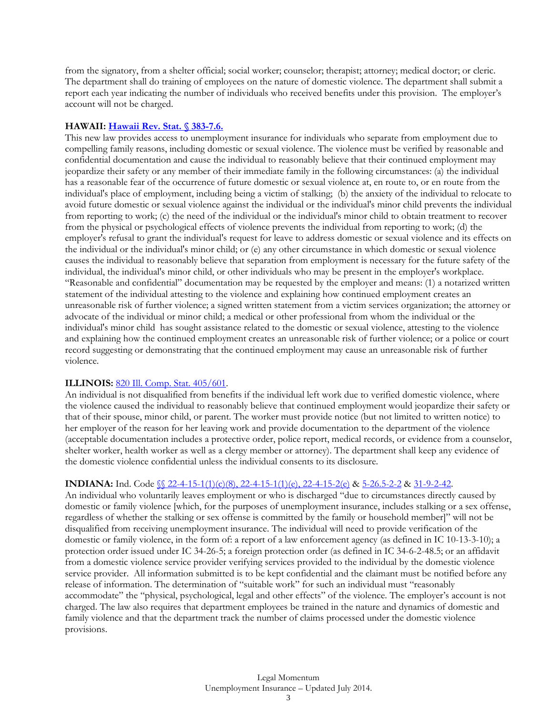from the signatory, from a shelter official; social worker; counselor; therapist; attorney; medical doctor; or cleric. The department shall do training of employees on the nature of domestic violence. The department shall submit a report each year indicating the number of individuals who received benefits under this provision. The employer's account will not be charged.

#### **HAWAII: Hawaii Rev. Stat. § 383-7.6.**

This new law provides access to unemployment insurance for individuals who separate from employment due to compelling family reasons, including domestic or sexual violence. The violence must be verified by reasonable and confidential documentation and cause the individual to reasonably believe that their continued employment may jeopardize their safety or any member of their immediate family in the following circumstances: (a) the individual has a reasonable fear of the occurrence of future domestic or sexual violence at, en route to, or en route from the individual's place of employment, including being a victim of stalking; (b) the anxiety of the individual to relocate to avoid future domestic or sexual violence against the individual or the individual's minor child prevents the individual from reporting to work; (c) the need of the individual or the individual's minor child to obtain treatment to recover from the physical or psychological effects of violence prevents the individual from reporting to work; (d) the employer's refusal to grant the individual's request for leave to address domestic or sexual violence and its effects on the individual or the individual's minor child; or (e) any other circumstance in which domestic or sexual violence causes the individual to reasonably believe that separation from employment is necessary for the future safety of the individual, the individual's minor child, or other individuals who may be present in the employer's workplace. "Reasonable and confidential" documentation may be requested by the employer and means: (1) a notarized written statement of the individual attesting to the violence and explaining how continued employment creates an unreasonable risk of further violence; a signed written statement from a victim services organization; the attorney or advocate of the individual or minor child; a medical or other professional from whom the individual or the individual's minor child has sought assistance related to the domestic or sexual violence, attesting to the violence and explaining how the continued employment creates an unreasonable risk of further violence; or a police or court record suggesting or demonstrating that the continued employment may cause an unreasonable risk of further violence.

#### **ILLINOIS:** 820 Ill. Comp. Stat. 405/601.

An individual is not disqualified from benefits if the individual left work due to verified domestic violence, where the violence caused the individual to reasonably believe that continued employment would jeopardize their safety or that of their spouse, minor child, or parent. The worker must provide notice (but not limited to written notice) to her employer of the reason for her leaving work and provide documentation to the department of the violence (acceptable documentation includes a protective order, police report, medical records, or evidence from a counselor, shelter worker, health worker as well as a clergy member or attorney). The department shall keep any evidence of the domestic violence confidential unless the individual consents to its disclosure.

#### **INDIANA:** Ind. Code §§ 22-4-15-1(1)(c)(8), 22-4-15-1(1)(e), 22-4-15-2(e) & 5-26.5-2-2 & 31-9-2-42.

An individual who voluntarily leaves employment or who is discharged "due to circumstances directly caused by domestic or family violence [which, for the purposes of unemployment insurance, includes stalking or a sex offense, regardless of whether the stalking or sex offense is committed by the family or household member]" will not be disqualified from receiving unemployment insurance. The individual will need to provide verification of the domestic or family violence, in the form of: a report of a law enforcement agency (as defined in IC 10-13-3-10); a protection order issued under IC 34-26-5; a foreign protection order (as defined in IC 34-6-2-48.5; or an affidavit from a domestic violence service provider verifying services provided to the individual by the domestic violence service provider. All information submitted is to be kept confidential and the claimant must be notified before any release of information. The determination of "suitable work" for such an individual must "reasonably accommodate" the "physical, psychological, legal and other effects" of the violence. The employer's account is not charged. The law also requires that department employees be trained in the nature and dynamics of domestic and family violence and that the department track the number of claims processed under the domestic violence provisions.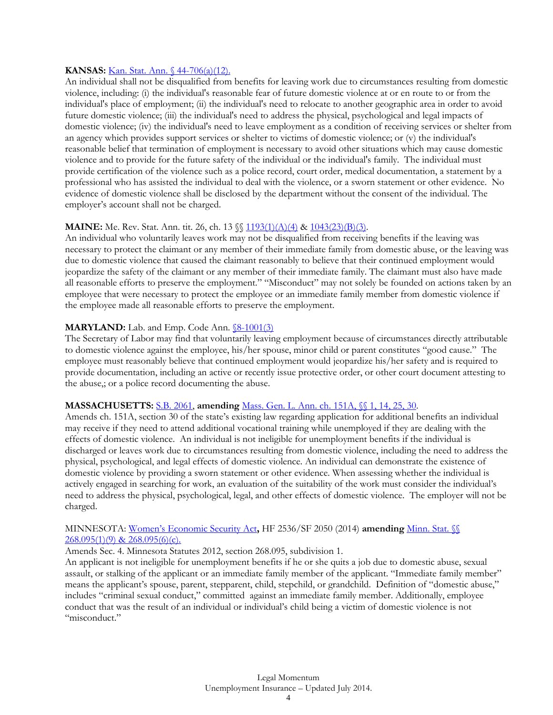#### **KANSAS:** Kan. Stat. Ann. § 44-706(a)(12).

An individual shall not be disqualified from benefits for leaving work due to circumstances resulting from domestic violence, including: (i) the individual's reasonable fear of future domestic violence at or en route to or from the individual's place of employment; (ii) the individual's need to relocate to another geographic area in order to avoid future domestic violence; (iii) the individual's need to address the physical, psychological and legal impacts of domestic violence; (iv) the individual's need to leave employment as a condition of receiving services or shelter from an agency which provides support services or shelter to victims of domestic violence; or (v) the individual's reasonable belief that termination of employment is necessary to avoid other situations which may cause domestic violence and to provide for the future safety of the individual or the individual's family. The individual must provide certification of the violence such as a police record, court order, medical documentation, a statement by a professional who has assisted the individual to deal with the violence, or a sworn statement or other evidence. No evidence of domestic violence shall be disclosed by the department without the consent of the individual. The employer's account shall not be charged.

#### **MAINE:** Me. Rev. Stat. Ann. tit. 26, ch. 13 \\\less \left 193(1)(A)(4) & 1043(23)(B)(3).

An individual who voluntarily leaves work may not be disqualified from receiving benefits if the leaving was necessary to protect the claimant or any member of their immediate family from domestic abuse, or the leaving was due to domestic violence that caused the claimant reasonably to believe that their continued employment would jeopardize the safety of the claimant or any member of their immediate family. The claimant must also have made all reasonable efforts to preserve the employment." "Misconduct" may not solely be founded on actions taken by an employee that were necessary to protect the employee or an immediate family member from domestic violence if the employee made all reasonable efforts to preserve the employment.

#### **MARYLAND:** Lab. and Emp. Code Ann. **§8-1001(3)**

The Secretary of Labor may find that voluntarily leaving employment because of circumstances directly attributable to domestic violence against the employee, his/her spouse, minor child or parent constitutes "good cause." The employee must reasonably believe that continued employment would jeopardize his/her safety and is required to provide documentation, including an active or recently issue protective order, or other court document attesting to the abuse,; or a police record documenting the abuse.

#### **MASSACHUSETTS:** S.B. 2061, **amending** Mass. Gen. L. Ann. ch. 151A, §§ 1, 14, 25, 30.

Amends ch. 151A, section 30 of the state's existing law regarding application for additional benefits an individual may receive if they need to attend additional vocational training while unemployed if they are dealing with the effects of domestic violence. An individual is not ineligible for unemployment benefits if the individual is discharged or leaves work due to circumstances resulting from domestic violence, including the need to address the physical, psychological, and legal effects of domestic violence. An individual can demonstrate the existence of domestic violence by providing a sworn statement or other evidence. When assessing whether the individual is actively engaged in searching for work, an evaluation of the suitability of the work must consider the individual's need to address the physical, psychological, legal, and other effects of domestic violence. The employer will not be charged.

#### MINNESOTA: Women's Economic Security Act**,** HF 2536/SF 2050 (2014) **amending** Minn. Stat. §§  $268.095(1)(9)$  &  $268.095(6)(c)$ .

#### Amends Sec. 4. Minnesota Statutes 2012, section 268.095, subdivision 1.

An applicant is not ineligible for unemployment benefits if he or she quits a job due to domestic abuse, sexual assault, or stalking of the applicant or an immediate family member of the applicant. "Immediate family member" means the applicant's spouse, parent, stepparent, child, stepchild, or grandchild. Definition of "domestic abuse," includes "criminal sexual conduct," committed against an immediate family member. Additionally, employee conduct that was the result of an individual or individual's child being a victim of domestic violence is not "misconduct."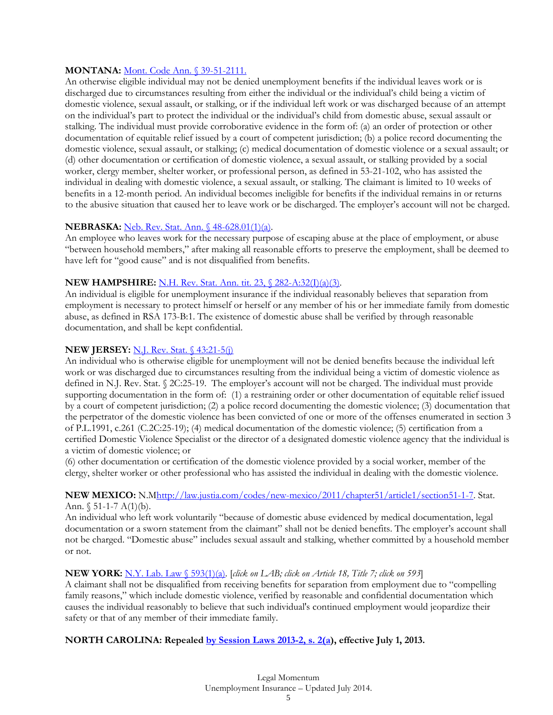#### **MONTANA:** Mont. Code Ann. § 39-51-2111.

An otherwise eligible individual may not be denied unemployment benefits if the individual leaves work or is discharged due to circumstances resulting from either the individual or the individual's child being a victim of domestic violence, sexual assault, or stalking, or if the individual left work or was discharged because of an attempt on the individual's part to protect the individual or the individual's child from domestic abuse, sexual assault or stalking. The individual must provide corroborative evidence in the form of: (a) an order of protection or other documentation of equitable relief issued by a court of competent jurisdiction; (b) a police record documenting the domestic violence, sexual assault, or stalking; (c) medical documentation of domestic violence or a sexual assault; or (d) other documentation or certification of domestic violence, a sexual assault, or stalking provided by a social worker, clergy member, shelter worker, or professional person, as defined in 53-21-102, who has assisted the individual in dealing with domestic violence, a sexual assault, or stalking. The claimant is limited to 10 weeks of benefits in a 12-month period. An individual becomes ineligible for benefits if the individual remains in or returns to the abusive situation that caused her to leave work or be discharged. The employer's account will not be charged.

#### **NEBRASKA:** Neb. Rev. Stat. Ann. § 48-628.01(1)(a).

An employee who leaves work for the necessary purpose of escaping abuse at the place of employment, or abuse "between household members," after making all reasonable efforts to preserve the employment, shall be deemed to have left for "good cause" and is not disqualified from benefits.

#### **NEW HAMPSHIRE:** N.H. Rev. Stat. Ann. tit. 23, § 282-A:32(I)(a)(3).

An individual is eligible for unemployment insurance if the individual reasonably believes that separation from employment is necessary to protect himself or herself or any member of his or her immediate family from domestic abuse, as defined in RSA 173-B:1. The existence of domestic abuse shall be verified by through reasonable documentation, and shall be kept confidential.

# **NEW JERSEY:** N.J. Rev. Stat. § 43:21-5(j)

An individual who is otherwise eligible for unemployment will not be denied benefits because the individual left work or was discharged due to circumstances resulting from the individual being a victim of domestic violence as defined in N.J. Rev. Stat. § 2C:25-19. The employer's account will not be charged. The individual must provide supporting documentation in the form of: (1) a restraining order or other documentation of equitable relief issued by a court of competent jurisdiction; (2) a police record documenting the domestic violence; (3) documentation that the perpetrator of the domestic violence has been convicted of one or more of the offenses enumerated in section 3 of P.L.1991, c.261 (C.2C:25-19); (4) medical documentation of the domestic violence; (5) certification from a certified Domestic Violence Specialist or the director of a designated domestic violence agency that the individual is a victim of domestic violence; or

(6) other documentation or certification of the domestic violence provided by a social worker, member of the clergy, shelter worker or other professional who has assisted the individual in dealing with the domestic violence.

#### NEW MEXICO: N.Mhttp://law.justia.com/codes/new-mexico/2011/chapter51/article1/section51-1-7. Stat. Ann.  $$ 51-1-7 A(1)(b)$ .

An individual who left work voluntarily "because of domestic abuse evidenced by medical documentation, legal documentation or a sworn statement from the claimant" shall not be denied benefits. The employer's account shall not be charged. "Domestic abuse" includes sexual assault and stalking, whether committed by a household member or not.

# **NEW YORK:** N.Y. Lab. Law § 593(1)(a). [*click on LAB; click on Article 18, Title 7; click on 593*]

A claimant shall not be disqualified from receiving benefits for separation from employment due to "compelling family reasons," which include domestic violence, verified by reasonable and confidential documentation which causes the individual reasonably to believe that such individual's continued employment would jeopardize their safety or that of any member of their immediate family.

# **NORTH CAROLINA: Repealed by Session Laws 2013-2, s. 2(a), effective July 1, 2013.**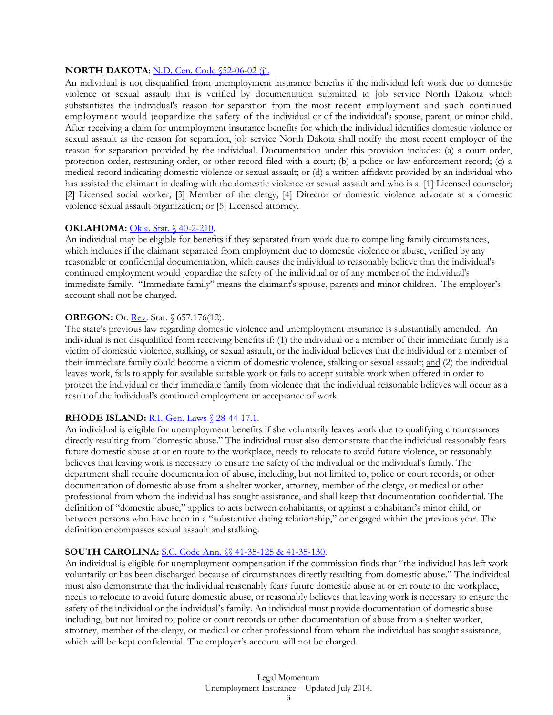# **NORTH DAKOTA**: N.D. Cen. Code \$52-06-02 (j).

An individual is not disqualified from unemployment insurance benefits if the individual left work due to domestic violence or sexual assault that is verified by documentation submitted to job service North Dakota which substantiates the individual's reason for separation from the most recent employment and such continued employment would jeopardize the safety of the individual or of the individual's spouse, parent, or minor child. After receiving a claim for unemployment insurance benefits for which the individual identifies domestic violence or sexual assault as the reason for separation, job service North Dakota shall notify the most recent employer of the reason for separation provided by the individual. Documentation under this provision includes: (a) a court order, protection order, restraining order, or other record filed with a court; (b) a police or law enforcement record; (c) a medical record indicating domestic violence or sexual assault; or (d) a written affidavit provided by an individual who has assisted the claimant in dealing with the domestic violence or sexual assault and who is a: [1] Licensed counselor; [2] Licensed social worker; [3] Member of the clergy; [4] Director or domestic violence advocate at a domestic violence sexual assault organization; or [5] Licensed attorney.

#### **OKLAHOMA:** Okla. Stat. § 40-2-210.

An individual may be eligible for benefits if they separated from work due to compelling family circumstances, which includes if the claimant separated from employment due to domestic violence or abuse, verified by any reasonable or confidential documentation, which causes the individual to reasonably believe that the individual's continued employment would jeopardize the safety of the individual or of any member of the individual's immediate family. "Immediate family" means the claimant's spouse, parents and minor children. The employer's account shall not be charged.

#### **OREGON:** Or. **Rev.** Stat. § 657.176(12).

The state's previous law regarding domestic violence and unemployment insurance is substantially amended. An individual is not disqualified from receiving benefits if: (1) the individual or a member of their immediate family is a victim of domestic violence, stalking, or sexual assault, or the individual believes that the individual or a member of their immediate family could become a victim of domestic violence, stalking or sexual assault; and (2) the individual leaves work, fails to apply for available suitable work or fails to accept suitable work when offered in order to protect the individual or their immediate family from violence that the individual reasonable believes will occur as a result of the individual's continued employment or acceptance of work.

# **RHODE ISLAND:** R.I. Gen. Laws § 28-44-17.1.

An individual is eligible for unemployment benefits if she voluntarily leaves work due to qualifying circumstances directly resulting from "domestic abuse." The individual must also demonstrate that the individual reasonably fears future domestic abuse at or en route to the workplace, needs to relocate to avoid future violence, or reasonably believes that leaving work is necessary to ensure the safety of the individual or the individual's family. The department shall require documentation of abuse, including, but not limited to, police or court records, or other documentation of domestic abuse from a shelter worker, attorney, member of the clergy, or medical or other professional from whom the individual has sought assistance, and shall keep that documentation confidential. The definition of "domestic abuse," applies to acts between cohabitants, or against a cohabitant's minor child, or between persons who have been in a "substantive dating relationship," or engaged within the previous year. The definition encompasses sexual assault and stalking.

# **SOUTH CAROLINA:** S.C. Code Ann. §§ 41-35-125 & 41-35-130.

An individual is eligible for unemployment compensation if the commission finds that "the individual has left work voluntarily or has been discharged because of circumstances directly resulting from domestic abuse." The individual must also demonstrate that the individual reasonably fears future domestic abuse at or en route to the workplace, needs to relocate to avoid future domestic abuse, or reasonably believes that leaving work is necessary to ensure the safety of the individual or the individual's family. An individual must provide documentation of domestic abuse including, but not limited to, police or court records or other documentation of abuse from a shelter worker, attorney, member of the clergy, or medical or other professional from whom the individual has sought assistance, which will be kept confidential. The employer's account will not be charged.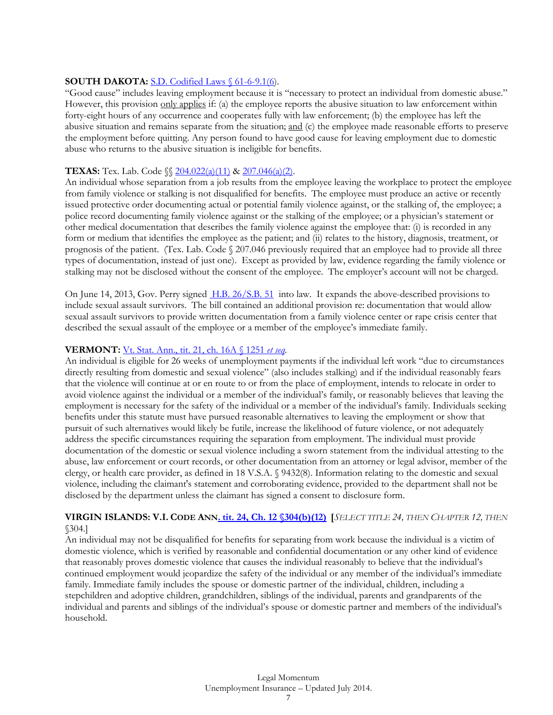#### **SOUTH DAKOTA:** S.D. Codified Laws § 61-6-9.1(6).

"Good cause" includes leaving employment because it is "necessary to protect an individual from domestic abuse." However, this provision only applies if: (a) the employee reports the abusive situation to law enforcement within forty-eight hours of any occurrence and cooperates fully with law enforcement; (b) the employee has left the abusive situation and remains separate from the situation; and (c) the employee made reasonable efforts to preserve the employment before quitting. Any person found to have good cause for leaving employment due to domestic abuse who returns to the abusive situation is ineligible for benefits.

#### **TEXAS:** Tex. Lab. Code §§ 204.022(a)(11) & 207.046(a)(2).

An individual whose separation from a job results from the employee leaving the workplace to protect the employee from family violence or stalking is not disqualified for benefits. The employee must produce an active or recently issued protective order documenting actual or potential family violence against, or the stalking of, the employee; a police record documenting family violence against or the stalking of the employee; or a physician's statement or other medical documentation that describes the family violence against the employee that: (i) is recorded in any form or medium that identifies the employee as the patient; and (ii) relates to the history, diagnosis, treatment, or prognosis of the patient. (Tex. Lab. Code § 207.046 previously required that an employee had to provide all three types of documentation, instead of just one). Except as provided by law, evidence regarding the family violence or stalking may not be disclosed without the consent of the employee. The employer's account will not be charged.

On June 14, 2013, Gov. Perry signed H.B. 26/S.B. 51into law. It expands the above-described provisions to include sexual assault survivors. The bill contained an additional provision re: documentation that would allow sexual assault survivors to provide written documentation from a family violence center or rape crisis center that described the sexual assault of the employee or a member of the employee's immediate family.

#### **VERMONT:** Vt. Stat. Ann., tit. 21, ch. 16A § 1251 *et seq*.

An individual is eligible for 26 weeks of unemployment payments if the individual left work "due to circumstances directly resulting from domestic and sexual violence" (also includes stalking) and if the individual reasonably fears that the violence will continue at or en route to or from the place of employment, intends to relocate in order to avoid violence against the individual or a member of the individual's family, or reasonably believes that leaving the employment is necessary for the safety of the individual or a member of the individual's family. Individuals seeking benefits under this statute must have pursued reasonable alternatives to leaving the employment or show that pursuit of such alternatives would likely be futile, increase the likelihood of future violence, or not adequately address the specific circumstances requiring the separation from employment. The individual must provide documentation of the domestic or sexual violence including a sworn statement from the individual attesting to the abuse, law enforcement or court records, or other documentation from an attorney or legal advisor, member of the clergy, or health care provider, as defined in 18 V.S.A. § 9432(8). Information relating to the domestic and sexual violence, including the claimant's statement and corroborating evidence, provided to the department shall not be disclosed by the department unless the claimant has signed a consent to disclosure form.

#### **VIRGIN ISLANDS: V.I. CODE ANN. tit. 24, Ch. 12 §304(b)(12) [***SELECT TITLE 24, THEN CHAPTER 12, THEN*  §304.]

An individual may not be disqualified for benefits for separating from work because the individual is a victim of domestic violence, which is verified by reasonable and confidential documentation or any other kind of evidence that reasonably proves domestic violence that causes the individual reasonably to believe that the individual's continued employment would jeopardize the safety of the individual or any member of the individual's immediate family. Immediate family includes the spouse or domestic partner of the individual, children, including a stepchildren and adoptive children, grandchildren, siblings of the individual, parents and grandparents of the individual and parents and siblings of the individual's spouse or domestic partner and members of the individual's household.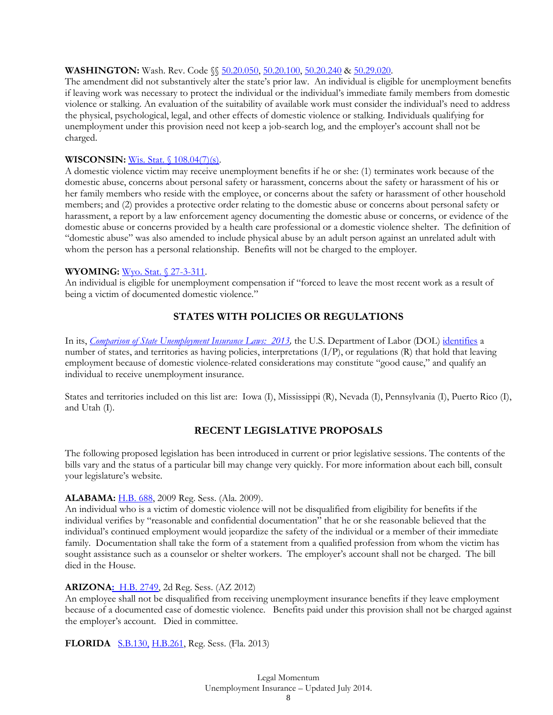# **WASHINGTON:** Wash. Rev. Code §§ 50.20.050, 50.20.100, 50.20.240 & 50.29.020.

The amendment did not substantively alter the state's prior law. An individual is eligible for unemployment benefits if leaving work was necessary to protect the individual or the individual's immediate family members from domestic violence or stalking. An evaluation of the suitability of available work must consider the individual's need to address the physical, psychological, legal, and other effects of domestic violence or stalking. Individuals qualifying for unemployment under this provision need not keep a job-search log, and the employer's account shall not be charged.

#### **WISCONSIN:** Wis. Stat. § 108.04(7)(s).

A domestic violence victim may receive unemployment benefits if he or she: (1) terminates work because of the domestic abuse, concerns about personal safety or harassment, concerns about the safety or harassment of his or her family members who reside with the employee, or concerns about the safety or harassment of other household members; and (2) provides a protective order relating to the domestic abuse or concerns about personal safety or harassment, a report by a law enforcement agency documenting the domestic abuse or concerns, or evidence of the domestic abuse or concerns provided by a health care professional or a domestic violence shelter. The definition of "domestic abuse" was also amended to include physical abuse by an adult person against an unrelated adult with whom the person has a personal relationship. Benefits will not be charged to the employer.

#### **WYOMING:** Wyo. Stat. § 27-3-311.

An individual is eligible for unemployment compensation if "forced to leave the most recent work as a result of being a victim of documented domestic violence."

# **STATES WITH POLICIES OR REGULATIONS**

In its, *Comparison of State Unemployment Insurance Laws: 2013*, the U.S. Department of Labor (DOL) identifies a number of states, and territories as having policies, interpretations (I/P), or regulations (R) that hold that leaving employment because of domestic violence-related considerations may constitute "good cause," and qualify an individual to receive unemployment insurance.

States and territories included on this list are: Iowa (I), Mississippi (R), Nevada (I), Pennsylvania (I), Puerto Rico (I), and Utah (I).

# **RECENT LEGISLATIVE PROPOSALS**

The following proposed legislation has been introduced in current or prior legislative sessions. The contents of the bills vary and the status of a particular bill may change very quickly. For more information about each bill, consult your legislature's website.

#### **ALABAMA:** H.B. 688, 2009 Reg. Sess. (Ala. 2009).

An individual who is a victim of domestic violence will not be disqualified from eligibility for benefits if the individual verifies by "reasonable and confidential documentation" that he or she reasonable believed that the individual's continued employment would jeopardize the safety of the individual or a member of their immediate family. Documentation shall take the form of a statement from a qualified profession from whom the victim has sought assistance such as a counselor or shelter workers. The employer's account shall not be charged. The bill died in the House.

#### **ARIZONA:** H.B. 2749, 2d Reg. Sess. (AZ 2012)

An employee shall not be disqualified from receiving unemployment insurance benefits if they leave employment because of a documented case of domestic violence. Benefits paid under this provision shall not be charged against the employer's account. Died in committee.

**FLORIDA** S.B.130, H.B.261, Reg. Sess. (Fla. 2013)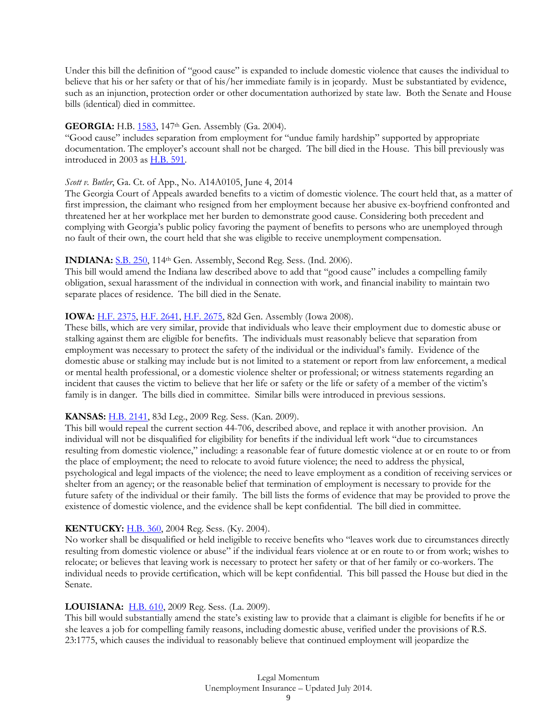Under this bill the definition of "good cause" is expanded to include domestic violence that causes the individual to believe that his or her safety or that of his/her immediate family is in jeopardy. Must be substantiated by evidence, such as an injunction, protection order or other documentation authorized by state law. Both the Senate and House bills (identical) died in committee.

#### **GEORGIA:** H.B. 1583, 147<sup>th</sup> Gen. Assembly (Ga. 2004).

"Good cause" includes separation from employment for "undue family hardship" supported by appropriate documentation. The employer's account shall not be charged. The bill died in the House. This bill previously was introduced in 2003 as H.B. 591.

#### *Scott v. Butler*, Ga. Ct. of App., No. A14A0105, June 4, 2014

The Georgia Court of Appeals awarded benefits to a victim of domestic violence. The court held that, as a matter of first impression, the claimant who resigned from her employment because her abusive ex-boyfriend confronted and threatened her at her workplace met her burden to demonstrate good cause. Considering both precedent and complying with Georgia's public policy favoring the payment of benefits to persons who are unemployed through no fault of their own, the court held that she was eligible to receive unemployment compensation.

#### **INDIANA:** S.B. 250, 114<sup>th</sup> Gen. Assembly, Second Reg. Sess. (Ind. 2006).

This bill would amend the Indiana law described above to add that "good cause" includes a compelling family obligation, sexual harassment of the individual in connection with work, and financial inability to maintain two separate places of residence. The bill died in the Senate.

#### **IOWA:** H.F. 2375, H.F. 2641, H.F. 2675, 82d Gen. Assembly (Iowa 2008).

These bills, which are very similar, provide that individuals who leave their employment due to domestic abuse or stalking against them are eligible for benefits. The individuals must reasonably believe that separation from employment was necessary to protect the safety of the individual or the individual's family. Evidence of the domestic abuse or stalking may include but is not limited to a statement or report from law enforcement, a medical or mental health professional, or a domestic violence shelter or professional; or witness statements regarding an incident that causes the victim to believe that her life or safety or the life or safety of a member of the victim's family is in danger. The bills died in committee. Similar bills were introduced in previous sessions.

# **KANSAS:** H.B. 2141, 83d Leg., 2009 Reg. Sess. (Kan. 2009).

This bill would repeal the current section 44-706, described above, and replace it with another provision. An individual will not be disqualified for eligibility for benefits if the individual left work "due to circumstances resulting from domestic violence," including: a reasonable fear of future domestic violence at or en route to or from the place of employment; the need to relocate to avoid future violence; the need to address the physical, psychological and legal impacts of the violence; the need to leave employment as a condition of receiving services or shelter from an agency; or the reasonable belief that termination of employment is necessary to provide for the future safety of the individual or their family. The bill lists the forms of evidence that may be provided to prove the existence of domestic violence, and the evidence shall be kept confidential. The bill died in committee.

#### **KENTUCKY:** H.B. 360, 2004 Reg. Sess. (Ky. 2004).

No worker shall be disqualified or held ineligible to receive benefits who "leaves work due to circumstances directly resulting from domestic violence or abuse" if the individual fears violence at or en route to or from work; wishes to relocate; or believes that leaving work is necessary to protect her safety or that of her family or co-workers. The individual needs to provide certification, which will be kept confidential. This bill passed the House but died in the Senate.

#### **LOUISIANA:** H.B. 610, 2009 Reg. Sess. (La. 2009).

This bill would substantially amend the state's existing law to provide that a claimant is eligible for benefits if he or she leaves a job for compelling family reasons, including domestic abuse, verified under the provisions of R.S. 23:1775, which causes the individual to reasonably believe that continued employment will jeopardize the

# Legal Momentum Unemployment Insurance – Updated July 2014.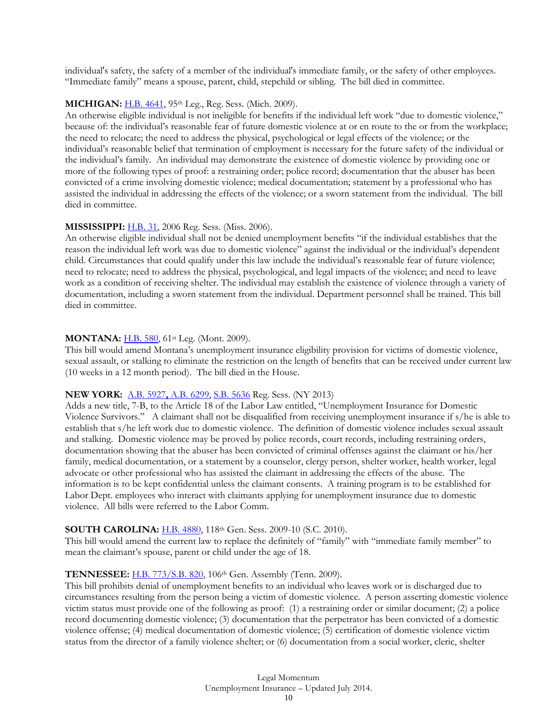individual's safety, the safety of a member of the individual's immediate family, or the safety of other employees. "Immediate family" means a spouse, parent, child, stepchild or sibling. The bill died in committee.

#### **MICHIGAN:** H.B. 4641, 95th Leg., Reg. Sess. (Mich. 2009).

An otherwise eligible individual is not ineligible for benefits if the individual left work "due to domestic violence," because of: the individual's reasonable fear of future domestic violence at or en route to the or from the workplace; the need to relocate; the need to address the physical, psychological or legal effects of the violence; or the individual's reasonable belief that termination of employment is necessary for the future safety of the individual or the individual's family. An individual may demonstrate the existence of domestic violence by providing one or more of the following types of proof: a restraining order; police record; documentation that the abuser has been convicted of a crime involving domestic violence; medical documentation; statement by a professional who has assisted the individual in addressing the effects of the violence; or a sworn statement from the individual. The bill died in committee.

#### **MISSISSIPPI:** H.B. 31, 2006 Reg. Sess. (Miss. 2006).

An otherwise eligible individual shall not be denied unemployment benefits "if the individual establishes that the reason the individual left work was due to domestic violence" against the individual or the individual's dependent child. Circumstances that could qualify under this law include the individual's reasonable fear of future violence; need to relocate; need to address the physical, psychological, and legal impacts of the violence; and need to leave work as a condition of receiving shelter. The individual may establish the existence of violence through a variety of documentation, including a sworn statement from the individual. Department personnel shall be trained. This bill died in committee.

#### **MONTANA:** H.B. 580, 61st Leg. (Mont. 2009).

This bill would amend Montana's unemployment insurance eligibility provision for victims of domestic violence, sexual assault, or stalking to eliminate the restriction on the length of benefits that can be received under current law (10 weeks in a 12 month period). The bill died in the House.

#### **NEW YORK:** A.B. 5927**,** A.B. 6299, S.B. 5636 Reg. Sess. (NY 2013)

Adds a new title, 7-B, to the Article 18 of the Labor Law entitled, "Unemployment Insurance for Domestic Violence Survivors." A claimant shall not be disqualified from receiving unemployment insurance if s/he is able to establish that s/he left work due to domestic violence. The definition of domestic violence includes sexual assault and stalking. Domestic violence may be proved by police records, court records, including restraining orders, documentation showing that the abuser has been convicted of criminal offenses against the claimant or his/her family, medical documentation, or a statement by a counselor, clergy person, shelter worker, health worker, legal advocate or other professional who has assisted the claimant in addressing the effects of the abuse. The information is to be kept confidential unless the claimant consents. A training program is to be established for Labor Dept. employees who interact with claimants applying for unemployment insurance due to domestic violence. All bills were referred to the Labor Comm.

# **SOUTH CAROLINA:** H.B. 4880, 118th Gen. Sess. 2009-10 (S.C. 2010).

This bill would amend the current law to replace the definitely of "family" with "immediate family member" to mean the claimant's spouse, parent or child under the age of 18.

# **TENNESSEE:** H.B. 773/S.B. 820, 106th Gen. Assembly (Tenn. 2009).

This bill prohibits denial of unemployment benefits to an individual who leaves work or is discharged due to circumstances resulting from the person being a victim of domestic violence. A person asserting domestic violence victim status must provide one of the following as proof: (1) a restraining order or similar document; (2) a police record documenting domestic violence; (3) documentation that the perpetrator has been convicted of a domestic violence offense; (4) medical documentation of domestic violence; (5) certification of domestic violence victim status from the director of a family violence shelter; or (6) documentation from a social worker, cleric, shelter